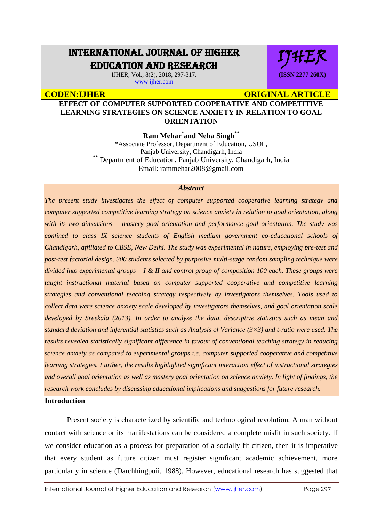# INTERNATIONAL JOURNAL OF HIGHER EDUCATION AND RESEARCH

IJHER, Vol., 8(2), 2018, 297-317. [www.ijher.com](http://www.ijher.com/)

**CODEN:LIHER CODEN:** CODEN: ARTICLE

IJHER

**(ISSN 2277 260X)**

# **EFFECT OF COMPUTER SUPPORTED COOPERATIVE AND COMPETITIVE LEARNING STRATEGIES ON SCIENCE ANXIETY IN RELATION TO GOAL ORIENTATION**

**Ram Mehar**\* **and Neha Singh\*\***

\*Associate Professor, Department of Education, USOL, Panjab University, Chandigarh, India **\*\*** Department of Education, Panjab University, Chandigarh, India Email: rammehar2008@gmail.com

# *Abstract*

*The present study investigates the effect of computer supported cooperative learning strategy and computer supported competitive learning strategy on science anxiety in relation to goal orientation, along with its two dimensions – mastery goal orientation and performance goal orientation. The study was confined to class IX science students of English medium government co-educational schools of Chandigarh, affiliated to CBSE, New Delhi. The study was experimental in nature, employing pre-test and post-test factorial design. 300 students selected by purposive multi-stage random sampling technique were divided into experimental groups – I & II and control group of composition 100 each. These groups were taught instructional material based on computer supported cooperative and competitive learning strategies and conventional teaching strategy respectively by investigators themselves. Tools used to collect data were science anxiety scale developed by investigators themselves, and goal orientation scale developed by Sreekala (2013). In order to analyze the data, descriptive statistics such as mean and standard deviation and inferential statistics such as Analysis of Variance (3×3) and t-ratio were used. The results revealed statistically significant difference in favour of conventional teaching strategy in reducing science anxiety as compared to experimental groups i.e. computer supported cooperative and competitive learning strategies. Further, the results highlighted significant interaction effect of instructional strategies and overall goal orientation as well as mastery goal orientation on science anxiety. In light of findings, the research work concludes by discussing educational implications and suggestions for future research.*

# **Introduction**

Present society is characterized by scientific and technological revolution. A man without contact with science or its manifestations can be considered a complete misfit in such society. If we consider education as a process for preparation of a socially fit citizen, then it is imperative that every student as future citizen must register significant academic achievement, more particularly in science (Darchhingpuii, 1988). However, educational research has suggested that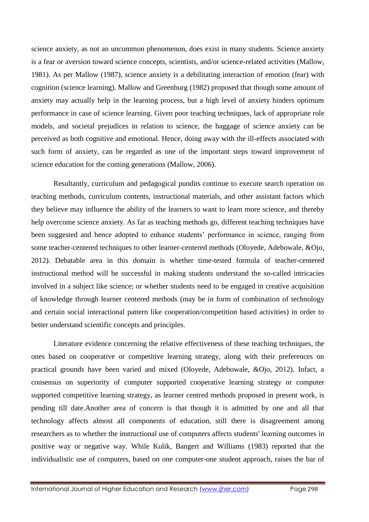science anxiety, as not an uncommon phenomenon, does exist in many students. Science anxiety is a fear or aversion toward science concepts, scientists, and/or science-related activities (Mallow, 1981). As per Mallow (1987), science anxiety is a debilitating interaction of emotion (fear) with cognition (science learning). Mallow and Greenburg (1982) proposed that though some amount of anxiety may actually help in the learning process, but a high level of anxiety hinders optimum performance in case of science learning. Given poor teaching techniques, lack of appropriate role models, and societal prejudices in relation to science, the baggage of science anxiety can be perceived as both cognitive and emotional. Hence, doing away with the ill-effects associated with such form of anxiety, can be regarded as one of the important steps toward improvement of science education for the coming generations (Mallow, 2006).

Resultantly, curriculum and pedagogical pundits continue to execute search operation on teaching methods, curriculum contents, instructional materials, and other assistant factors which they believe may influence the ability of the learners to want to learn more science, and thereby help overcome science anxiety. As far as teaching methods go, different teaching techniques have been suggested and hence adopted to enhance students' performance in science, ranging from some teacher-centered techniques to other learner-centered methods (Oloyede, Adebowale, &Ojo, 2012). Debatable area in this domain is whether time-tested formula of teacher-centered instructional method will be successful in making students understand the so-called intricacies involved in a subject like science; or whether students need to be engaged in creative acquisition of knowledge through learner centered methods (may be in form of combination of technology and certain social interactional pattern like cooperation/competition based activities) in order to better understand scientific concepts and principles.

Literature evidence concerning the relative effectiveness of these teaching techniques, the ones based on cooperative or competitive learning strategy, along with their preferences on practical grounds have been varied and mixed (Oloyede, Adebowale, &Ojo, 2012). Infact, a consensus on superiority of computer supported cooperative learning strategy or computer supported competitive learning strategy, as learner centred methods proposed in present work, is pending till date.Another area of concern is that though it is admitted by one and all that technology affects almost all components of education, still there is disagreement among researchers as to whether the instructional use of computers affects students' learning outcomes in positive way or negative way. While Kulik, Bangert and Williams (1983) reported that the individualistic use of computers, based on one computer-one student approach, raises the bar of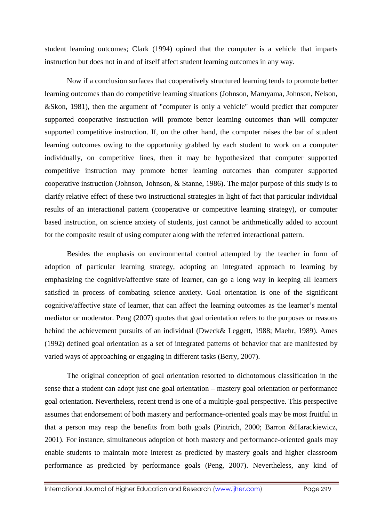student learning outcomes; Clark (1994) opined that the computer is a vehicle that imparts instruction but does not in and of itself affect student learning outcomes in any way.

Now if a conclusion surfaces that cooperatively structured learning tends to promote better learning outcomes than do competitive learning situations (Johnson, Maruyama, Johnson, Nelson, &Skon, 1981), then the argument of "computer is only a vehicle" would predict that computer supported cooperative instruction will promote better learning outcomes than will computer supported competitive instruction. If, on the other hand, the computer raises the bar of student learning outcomes owing to the opportunity grabbed by each student to work on a computer individually, on competitive lines, then it may be hypothesized that computer supported competitive instruction may promote better learning outcomes than computer supported cooperative instruction (Johnson, Johnson, & Stanne, 1986). The major purpose of this study is to clarify relative effect of these two instructional strategies in light of fact that particular individual results of an interactional pattern (cooperative or competitive learning strategy), or computer based instruction, on science anxiety of students, just cannot be arithmetically added to account for the composite result of using computer along with the referred interactional pattern.

Besides the emphasis on environmental control attempted by the teacher in form of adoption of particular learning strategy, adopting an integrated approach to learning by emphasizing the cognitive/affective state of learner, can go a long way in keeping all learners satisfied in process of combating science anxiety. Goal orientation is one of the significant cognitive/affective state of learner, that can affect the learning outcomes as the learner's mental mediator or moderator. Peng (2007) quotes that goal orientation refers to the purposes or reasons behind the achievement pursuits of an individual (Dweck& Leggett, 1988; Maehr, 1989). Ames (1992) defined goal orientation as a set of integrated patterns of behavior that are manifested by varied ways of approaching or engaging in different tasks (Berry, 2007).

The original conception of goal orientation resorted to dichotomous classification in the sense that a student can adopt just one goal orientation – mastery goal orientation or performance goal orientation. Nevertheless, recent trend is one of a multiple-goal perspective. This perspective assumes that endorsement of both mastery and performance-oriented goals may be most fruitful in that a person may reap the benefits from both goals (Pintrich, 2000; Barron &Harackiewicz, 2001). For instance, simultaneous adoption of both mastery and performance-oriented goals may enable students to maintain more interest as predicted by mastery goals and higher classroom performance as predicted by performance goals (Peng, 2007). Nevertheless, any kind of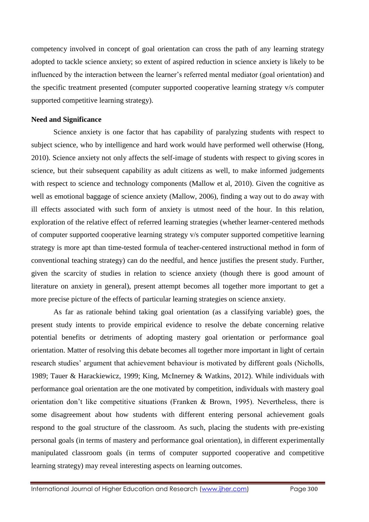competency involved in concept of goal orientation can cross the path of any learning strategy adopted to tackle science anxiety; so extent of aspired reduction in science anxiety is likely to be influenced by the interaction between the learner's referred mental mediator (goal orientation) and the specific treatment presented (computer supported cooperative learning strategy v/s computer supported competitive learning strategy).

# **Need and Significance**

Science anxiety is one factor that has capability of paralyzing students with respect to subject science, who by intelligence and hard work would have performed well otherwise (Hong, 2010). Science anxiety not only affects the self-image of students with respect to giving scores in science, but their subsequent capability as adult citizens as well, to make informed judgements with respect to science and technology components (Mallow et al, 2010). Given the cognitive as well as emotional baggage of science anxiety (Mallow, 2006), finding a way out to do away with ill effects associated with such form of anxiety is utmost need of the hour. In this relation, exploration of the relative effect of referred learning strategies (whether learner-centered methods of computer supported cooperative learning strategy v/s computer supported competitive learning strategy is more apt than time-tested formula of teacher-centered instructional method in form of conventional teaching strategy) can do the needful, and hence justifies the present study. Further, given the scarcity of studies in relation to science anxiety (though there is good amount of literature on anxiety in general), present attempt becomes all together more important to get a more precise picture of the effects of particular learning strategies on science anxiety.

As far as rationale behind taking goal orientation (as a classifying variable) goes, the present study intents to provide empirical evidence to resolve the debate concerning relative potential benefits or detriments of adopting mastery goal orientation or performance goal orientation. Matter of resolving this debate becomes all together more important in light of certain research studies' argument that achievement behaviour is motivated by different goals (Nicholls, 1989; Tauer & Harackiewicz, 1999; King, McInerney & Watkins, 2012). While individuals with performance goal orientation are the one motivated by competition, individuals with mastery goal orientation don't like competitive situations (Franken & Brown, 1995). Nevertheless, there is some disagreement about how students with different entering personal achievement goals respond to the goal structure of the classroom. As such, placing the students with pre-existing personal goals (in terms of mastery and performance goal orientation), in different experimentally manipulated classroom goals (in terms of computer supported cooperative and competitive learning strategy) may reveal interesting aspects on learning outcomes.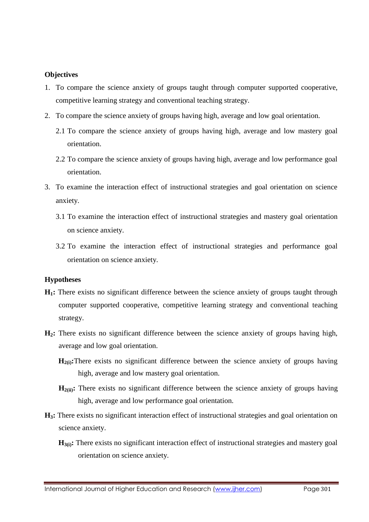# **Objectives**

- 1. To compare the science anxiety of groups taught through computer supported cooperative, competitive learning strategy and conventional teaching strategy.
- 2. To compare the science anxiety of groups having high, average and low goal orientation.
	- 2.1 To compare the science anxiety of groups having high, average and low mastery goal orientation.
	- 2.2 To compare the science anxiety of groups having high, average and low performance goal orientation.
- 3. To examine the interaction effect of instructional strategies and goal orientation on science anxiety.
	- 3.1 To examine the interaction effect of instructional strategies and mastery goal orientation on science anxiety.
	- 3.2 To examine the interaction effect of instructional strategies and performance goal orientation on science anxiety.

#### **Hypotheses**

- **H1:** There exists no significant difference between the science anxiety of groups taught through computer supported cooperative, competitive learning strategy and conventional teaching strategy.
- **H2:** There exists no significant difference between the science anxiety of groups having high, average and low goal orientation.
	- **H**<sub>2(i)</sub>: There exists no significant difference between the science anxiety of groups having high, average and low mastery goal orientation.
	- $\mathbf{H}_{2(ii)}$ : There exists no significant difference between the science anxiety of groups having high, average and low performance goal orientation.
- **H3:** There exists no significant interaction effect of instructional strategies and goal orientation on science anxiety.
	- **H**<sub>3(i)</sub>: There exists no significant interaction effect of instructional strategies and mastery goal orientation on science anxiety.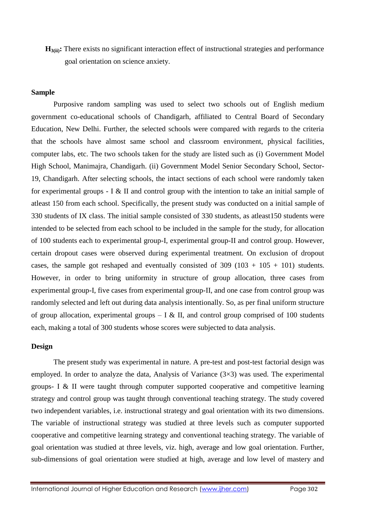**H3(ii):** There exists no significant interaction effect of instructional strategies and performance goal orientation on science anxiety.

# **Sample**

Purposive random sampling was used to select two schools out of English medium government co-educational schools of Chandigarh, affiliated to Central Board of Secondary Education, New Delhi. Further, the selected schools were compared with regards to the criteria that the schools have almost same school and classroom environment, physical facilities, computer labs, etc. The two schools taken for the study are listed such as (i) Government Model High School, Manimajra, Chandigarh. (ii) Government Model Senior Secondary School, Sector-19, Chandigarh. After selecting schools, the intact sections of each school were randomly taken for experimental groups - I & II and control group with the intention to take an initial sample of atleast 150 from each school. Specifically, the present study was conducted on a initial sample of 330 students of IX class. The initial sample consisted of 330 students, as atleast150 students were intended to be selected from each school to be included in the sample for the study, for allocation of 100 students each to experimental group-I, experimental group-II and control group. However, certain dropout cases were observed during experimental treatment. On exclusion of dropout cases, the sample got reshaped and eventually consisted of  $309 (103 + 105 + 101)$  students. However, in order to bring uniformity in structure of group allocation, three cases from experimental group-I, five cases from experimental group-II, and one case from control group was randomly selected and left out during data analysis intentionally. So, as per final uniform structure of group allocation, experimental groups  $- I & H$ , and control group comprised of 100 students each, making a total of 300 students whose scores were subjected to data analysis.

#### **Design**

The present study was experimental in nature. A pre-test and post-test factorial design was employed. In order to analyze the data, Analysis of Variance  $(3\times3)$  was used. The experimental groups- I & II were taught through computer supported cooperative and competitive learning strategy and control group was taught through conventional teaching strategy. The study covered two independent variables, i.e. instructional strategy and goal orientation with its two dimensions. The variable of instructional strategy was studied at three levels such as computer supported cooperative and competitive learning strategy and conventional teaching strategy. The variable of goal orientation was studied at three levels, viz. high, average and low goal orientation. Further, sub-dimensions of goal orientation were studied at high, average and low level of mastery and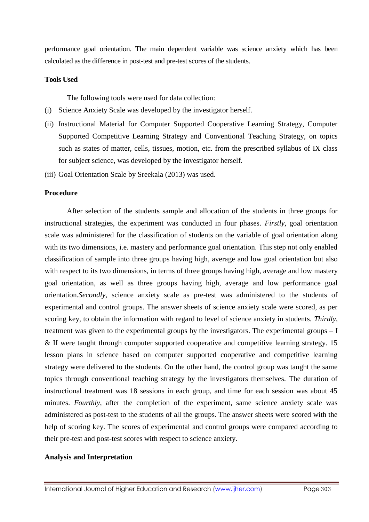performance goal orientation. The main dependent variable was science anxiety which has been calculated as the difference in post-test and pre-test scores of the students.

# **Tools Used**

The following tools were used for data collection:

- (i) Science Anxiety Scale was developed by the investigator herself.
- (ii) Instructional Material for Computer Supported Cooperative Learning Strategy, Computer Supported Competitive Learning Strategy and Conventional Teaching Strategy, on topics such as states of matter, cells, tissues, motion, etc. from the prescribed syllabus of IX class for subject science, was developed by the investigator herself.
- (iii) Goal Orientation Scale by Sreekala (2013) was used.

# **Procedure**

After selection of the students sample and allocation of the students in three groups for instructional strategies, the experiment was conducted in four phases. *Firstly*, goal orientation scale was administered for the classification of students on the variable of goal orientation along with its two dimensions, i.e. mastery and performance goal orientation. This step not only enabled classification of sample into three groups having high, average and low goal orientation but also with respect to its two dimensions, in terms of three groups having high, average and low mastery goal orientation, as well as three groups having high, average and low performance goal orientation.*Secondly*, science anxiety scale as pre-test was administered to the students of experimental and control groups. The answer sheets of science anxiety scale were scored, as per scoring key, to obtain the information with regard to level of science anxiety in students. *Thirdly*, treatment was given to the experimental groups by the investigators. The experimental groups – I & II were taught through computer supported cooperative and competitive learning strategy. 15 lesson plans in science based on computer supported cooperative and competitive learning strategy were delivered to the students. On the other hand, the control group was taught the same topics through conventional teaching strategy by the investigators themselves. The duration of instructional treatment was 18 sessions in each group, and time for each session was about 45 minutes. *Fourthly*, after the completion of the experiment, same science anxiety scale was administered as post-test to the students of all the groups. The answer sheets were scored with the help of scoring key. The scores of experimental and control groups were compared according to their pre-test and post-test scores with respect to science anxiety.

#### **Analysis and Interpretation**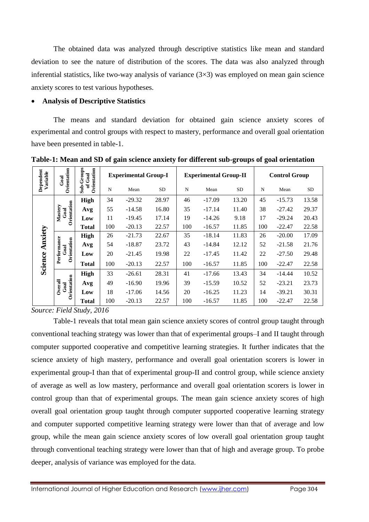The obtained data was analyzed through descriptive statistics like mean and standard deviation to see the nature of distribution of the scores. The data was also analyzed through inferential statistics, like two-way analysis of variance  $(3\times3)$  was employed on mean gain science anxiety scores to test various hypotheses.

# **Analysis of Descriptive Statistics**

The means and standard deviation for obtained gain science anxiety scores of experimental and control groups with respect to mastery, performance and overall goal orientation have been presented in table-1.

| Dependent<br>Variable | Orientation<br>$G$ oal             | Sub-Groups<br>Orientation<br>of Goal | <b>Experimental Group-I</b> |          |           | <b>Experimental Group-II</b> |          |           | <b>Control Group</b> |          |           |
|-----------------------|------------------------------------|--------------------------------------|-----------------------------|----------|-----------|------------------------------|----------|-----------|----------------------|----------|-----------|
|                       |                                    |                                      | N                           | Mean     | <b>SD</b> | N                            | Mean     | <b>SD</b> | N                    | Mean     | <b>SD</b> |
| Anxiety<br>Science    | Orientation<br>Mastery<br>Goal     | <b>High</b>                          | 34                          | $-29.32$ | 28.97     | 46                           | $-17.09$ | 13.20     | 45                   | $-15.73$ | 13.58     |
|                       |                                    | Avg                                  | 55                          | $-14.58$ | 16.80     | 35                           | $-17.14$ | 11.40     | 38                   | $-27.42$ | 29.37     |
|                       |                                    | Low                                  | 11                          | $-19.45$ | 17.14     | 19                           | $-14.26$ | 9.18      | 17                   | $-29.24$ | 20.43     |
|                       |                                    | Total                                | 100                         | $-20.13$ | 22.57     | 100                          | $-16.57$ | 11.85     | 100                  | $-22.47$ | 22.58     |
|                       | Performance<br>Orientation<br>Goal | <b>High</b>                          | 26                          | $-21.73$ | 22.67     | 35                           | $-18.14$ | 11.83     | 26                   | $-20.00$ | 17.09     |
|                       |                                    | Avg                                  | 54                          | $-18.87$ | 23.72     | 43                           | $-14.84$ | 12.12     | 52                   | $-21.58$ | 21.76     |
|                       |                                    | Low                                  | 20                          | $-21.45$ | 19.98     | 22                           | $-17.45$ | 11.42     | 22                   | $-27.50$ | 29.48     |
|                       |                                    | Total                                | 100                         | $-20.13$ | 22.57     | 100                          | $-16.57$ | 11.85     | 100                  | $-22.47$ | 22.58     |
|                       | Orientation<br>Overall<br>God      | <b>High</b>                          | 33                          | $-26.61$ | 28.31     | 41                           | $-17.66$ | 13.43     | 34                   | $-14.44$ | 10.52     |
|                       |                                    | Avg                                  | 49                          | $-16.90$ | 19.96     | 39                           | $-15.59$ | 10.52     | 52                   | $-23.21$ | 23.73     |
|                       |                                    | Low                                  | 18                          | $-17.06$ | 14.56     | 20                           | $-16.25$ | 11.23     | 14                   | $-39.21$ | 30.31     |
|                       |                                    | Total                                | 100                         | $-20.13$ | 22.57     | 100                          | $-16.57$ | 11.85     | 100                  | $-22.47$ | 22.58     |

**Table-1: Mean and SD of gain science anxiety for different sub-groups of goal orientation**

*Source: Field Study, 2016*

Table-1 reveals that total mean gain science anxiety scores of control group taught through conventional teaching strategy was lower than that of experimental groups–I and II taught through computer supported cooperative and competitive learning strategies. It further indicates that the science anxiety of high mastery, performance and overall goal orientation scorers is lower in experimental group-I than that of experimental group-II and control group, while science anxiety of average as well as low mastery, performance and overall goal orientation scorers is lower in control group than that of experimental groups. The mean gain science anxiety scores of high overall goal orientation group taught through computer supported cooperative learning strategy and computer supported competitive learning strategy were lower than that of average and low group, while the mean gain science anxiety scores of low overall goal orientation group taught through conventional teaching strategy were lower than that of high and average group. To probe deeper, analysis of variance was employed for the data.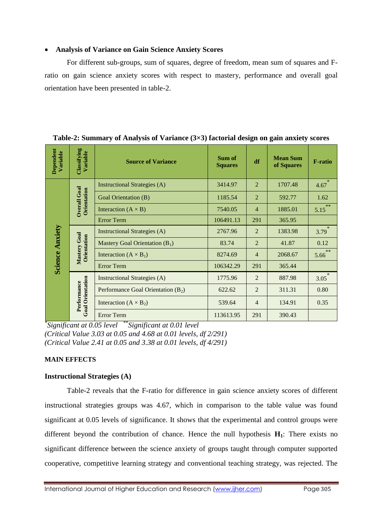# **Analysis of Variance on Gain Science Anxiety Scores**

For different sub-groups, sum of squares, degree of freedom, mean sum of squares and Fratio on gain science anxiety scores with respect to mastery, performance and overall goal orientation have been presented in table-2.

| Dependent<br>Variable  | Classifying<br>Variable                | <b>Source of Variance</b>            | Sum of<br><b>Squares</b> | df             | <b>Mean Sum</b><br>of Squares | <b>F-ratio</b> |
|------------------------|----------------------------------------|--------------------------------------|--------------------------|----------------|-------------------------------|----------------|
| <b>Science Anxiety</b> |                                        | <b>Instructional Strategies (A)</b>  | 3414.97                  | $\overline{2}$ | 1707.48                       | $\ast$<br>4.67 |
|                        | <b>Overall Goal</b><br>Orientation     | <b>Goal Orientation (B)</b>          | 1185.54                  | $\overline{2}$ | 592.77                        | 1.62           |
|                        |                                        | Interaction $(A \times B)$           | 7540.05                  | $\overline{4}$ | 1885.01                       | $***$<br>5.15  |
|                        |                                        | <b>Error Term</b>                    | 106491.13                | 291            | 365.95                        |                |
|                        | Mastery Goal<br>Orientation            | <b>Instructional Strategies (A)</b>  | 2767.96                  | $\overline{2}$ | 1383.98                       | ∗<br>3.79      |
|                        |                                        | Mastery Goal Orientation $(B_1)$     | 83.74                    | $\overline{2}$ | 41.87                         | 0.12           |
|                        |                                        | Interaction $(A \times B_1)$         | 8274.69                  | $\overline{4}$ | 2068.67                       | $**$<br>5.66   |
|                        |                                        | <b>Error Term</b>                    | 106342.29                | 291            | 365.44                        |                |
|                        |                                        | Instructional Strategies (A)         | 1775.96                  | 2              | 887.98                        | $\ast$<br>3.05 |
|                        |                                        | Performance Goal Orientation $(B_2)$ | 622.62                   | $\overline{2}$ | 311.31                        | 0.80           |
|                        | <b>Goal Orientation</b><br>Performance | Interaction $(A \times B_2)$         | 539.64                   | $\overline{4}$ | 134.91                        | 0.35           |
|                        |                                        | Error Term                           | 113613.95                | 291            | 390.43                        |                |

**Table-2: Summary of Analysis of Variance (3×3) factorial design on gain anxiety scores**

*\* Significant at 0.05 level* \*\**Significant at 0.01 level (Critical Value 3.03 at 0.05 and 4.68 at 0.01 levels, df 2/291) (Critical Value 2.41 at 0.05 and 3.38 at 0.01 levels, df 4/291)*

# **MAIN EFFECTS**

# **Instructional Strategies (A)**

Table-2 reveals that the F-ratio for difference in gain science anxiety scores of different instructional strategies groups was 4.67, which in comparison to the table value was found significant at 0.05 levels of significance. It shows that the experimental and control groups were different beyond the contribution of chance. Hence the null hypothesis **H1**: There exists no significant difference between the science anxiety of groups taught through computer supported cooperative, competitive learning strategy and conventional teaching strategy, was rejected. The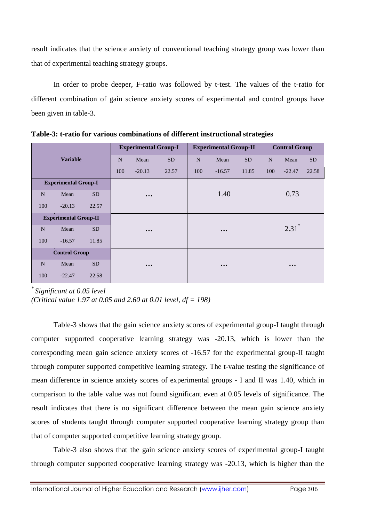result indicates that the science anxiety of conventional teaching strategy group was lower than that of experimental teaching strategy groups.

In order to probe deeper, F-ratio was followed by t-test. The values of the t-ratio for different combination of gain science anxiety scores of experimental and control groups have been given in table-3.

| <b>Variable</b>              |          |           | <b>Experimental Group-I</b> |                         |           |     | <b>Experimental Group-II</b> |           | <b>Control Group</b> |                         |           |
|------------------------------|----------|-----------|-----------------------------|-------------------------|-----------|-----|------------------------------|-----------|----------------------|-------------------------|-----------|
|                              |          |           | N                           | Mean                    | <b>SD</b> | N   | Mean                         | <b>SD</b> | $\mathbf N$          | Mean                    | <b>SD</b> |
|                              |          |           | 100                         | $-20.13$                | 22.57     | 100 | $-16.57$                     | 11.85     | 100                  | $-22.47$                | 22.58     |
| <b>Experimental Group-I</b>  |          |           |                             |                         |           |     |                              |           |                      |                         |           |
| N                            | Mean     | <b>SD</b> |                             | $\bullet\bullet\bullet$ |           |     | 1.40                         |           |                      | 0.73                    |           |
| 100                          | $-20.13$ | 22.57     |                             |                         |           |     |                              |           |                      |                         |           |
| <b>Experimental Group-II</b> |          |           |                             |                         |           |     |                              |           |                      |                         |           |
| N                            | Mean     | <b>SD</b> |                             | $\bullet\bullet\bullet$ |           |     | $\bullet\bullet\bullet$      |           |                      | $2.31$ <sup>*</sup>     |           |
| 100                          | $-16.57$ | 11.85     |                             |                         |           |     |                              |           |                      |                         |           |
| <b>Control Group</b>         |          |           |                             |                         |           |     |                              |           |                      |                         |           |
| N                            | Mean     | <b>SD</b> |                             | $\bullet\bullet\bullet$ |           |     | $\bullet\bullet\bullet$      |           |                      | $\bullet\bullet\bullet$ |           |
| 100                          | $-22.47$ | 22.58     |                             |                         |           |     |                              |           |                      |                         |           |

**Table-3: t-ratio for various combinations of different instructional strategies**

*\* Significant at 0.05 level*

*(Critical value 1.97 at 0.05 and 2.60 at 0.01 level, df = 198)*

Table-3 shows that the gain science anxiety scores of experimental group-I taught through computer supported cooperative learning strategy was -20.13, which is lower than the corresponding mean gain science anxiety scores of -16.57 for the experimental group-II taught through computer supported competitive learning strategy. The t-value testing the significance of mean difference in science anxiety scores of experimental groups - I and II was 1.40, which in comparison to the table value was not found significant even at 0.05 levels of significance. The result indicates that there is no significant difference between the mean gain science anxiety scores of students taught through computer supported cooperative learning strategy group than that of computer supported competitive learning strategy group.

Table-3 also shows that the gain science anxiety scores of experimental group-I taught through computer supported cooperative learning strategy was -20.13, which is higher than the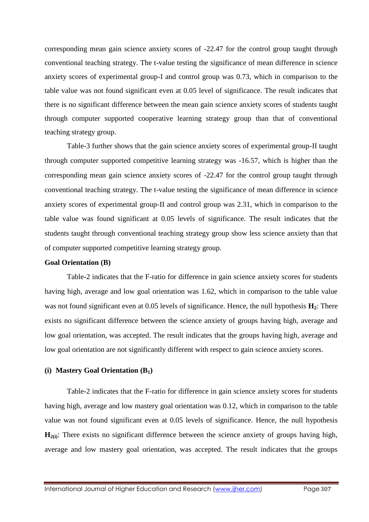corresponding mean gain science anxiety scores of -22.47 for the control group taught through conventional teaching strategy. The t-value testing the significance of mean difference in science anxiety scores of experimental group-I and control group was 0.73, which in comparison to the table value was not found significant even at 0.05 level of significance. The result indicates that there is no significant difference between the mean gain science anxiety scores of students taught through computer supported cooperative learning strategy group than that of conventional teaching strategy group.

Table-3 further shows that the gain science anxiety scores of experimental group-II taught through computer supported competitive learning strategy was -16.57, which is higher than the corresponding mean gain science anxiety scores of -22.47 for the control group taught through conventional teaching strategy. The t-value testing the significance of mean difference in science anxiety scores of experimental group-II and control group was 2.31, which in comparison to the table value was found significant at 0.05 levels of significance. The result indicates that the students taught through conventional teaching strategy group show less science anxiety than that of computer supported competitive learning strategy group.

#### **Goal Orientation (B)**

Table-2 indicates that the F-ratio for difference in gain science anxiety scores for students having high, average and low goal orientation was 1.62, which in comparison to the table value was not found significant even at 0.05 levels of significance. Hence, the null hypothesis **H2**: There exists no significant difference between the science anxiety of groups having high, average and low goal orientation, was accepted. The result indicates that the groups having high, average and low goal orientation are not significantly different with respect to gain science anxiety scores.

# **(i) Mastery Goal Orientation (B1)**

Table-2 indicates that the F-ratio for difference in gain science anxiety scores for students having high, average and low mastery goal orientation was 0.12, which in comparison to the table value was not found significant even at 0.05 levels of significance. Hence, the null hypothesis **H**<sub>2(i)</sub>: There exists no significant difference between the science anxiety of groups having high, average and low mastery goal orientation, was accepted. The result indicates that the groups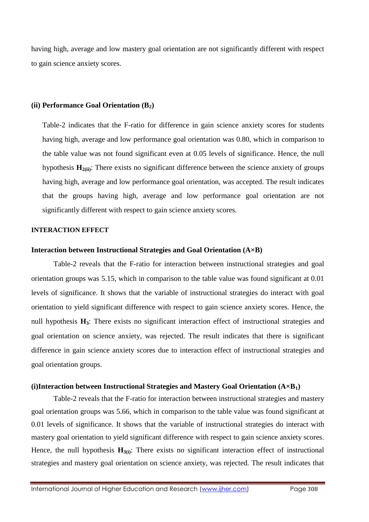having high, average and low mastery goal orientation are not significantly different with respect to gain science anxiety scores.

# **(ii) Performance Goal Orientation (B2)**

Table-2 indicates that the F-ratio for difference in gain science anxiety scores for students having high, average and low performance goal orientation was 0.80, which in comparison to the table value was not found significant even at 0.05 levels of significance. Hence, the null hypothesis **H2(ii)**: There exists no significant difference between the science anxiety of groups having high, average and low performance goal orientation, was accepted. The result indicates that the groups having high, average and low performance goal orientation are not significantly different with respect to gain science anxiety scores.

# **INTERACTION EFFECT**

#### **Interaction between Instructional Strategies and Goal Orientation (A×B)**

Table-2 reveals that the F-ratio for interaction between instructional strategies and goal orientation groups was 5.15, which in comparison to the table value was found significant at 0.01 levels of significance. It shows that the variable of instructional strategies do interact with goal orientation to yield significant difference with respect to gain science anxiety scores. Hence, the null hypothesis **H3**: There exists no significant interaction effect of instructional strategies and goal orientation on science anxiety, was rejected. The result indicates that there is significant difference in gain science anxiety scores due to interaction effect of instructional strategies and goal orientation groups.

#### **(i)Interaction between Instructional Strategies and Mastery Goal Orientation (A×B1)**

Table-2 reveals that the F-ratio for interaction between instructional strategies and mastery goal orientation groups was 5.66, which in comparison to the table value was found significant at 0.01 levels of significance. It shows that the variable of instructional strategies do interact with mastery goal orientation to yield significant difference with respect to gain science anxiety scores. Hence, the null hypothesis  $H_{3(i)}$ : There exists no significant interaction effect of instructional strategies and mastery goal orientation on science anxiety, was rejected. The result indicates that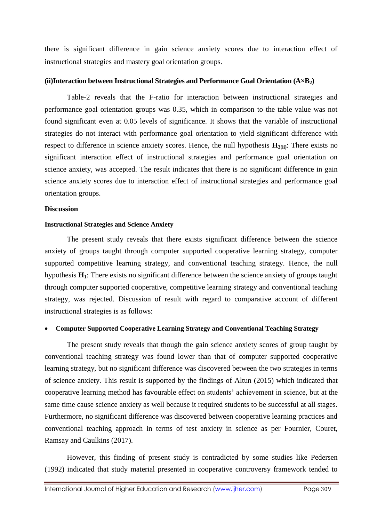there is significant difference in gain science anxiety scores due to interaction effect of instructional strategies and mastery goal orientation groups.

# **(ii)Interaction between Instructional Strategies and Performance Goal Orientation (A×B2)**

Table-2 reveals that the F-ratio for interaction between instructional strategies and performance goal orientation groups was 0.35, which in comparison to the table value was not found significant even at 0.05 levels of significance. It shows that the variable of instructional strategies do not interact with performance goal orientation to yield significant difference with respect to difference in science anxiety scores. Hence, the null hypothesis **H3(ii)**: There exists no significant interaction effect of instructional strategies and performance goal orientation on science anxiety, was accepted. The result indicates that there is no significant difference in gain science anxiety scores due to interaction effect of instructional strategies and performance goal orientation groups.

# **Discussion**

# **Instructional Strategies and Science Anxiety**

The present study reveals that there exists significant difference between the science anxiety of groups taught through computer supported cooperative learning strategy, computer supported competitive learning strategy, and conventional teaching strategy. Hence, the null hypothesis **H1**: There exists no significant difference between the science anxiety of groups taught through computer supported cooperative, competitive learning strategy and conventional teaching strategy, was rejected. Discussion of result with regard to comparative account of different instructional strategies is as follows:

#### **Computer Supported Cooperative Learning Strategy and Conventional Teaching Strategy**

The present study reveals that though the gain science anxiety scores of group taught by conventional teaching strategy was found lower than that of computer supported cooperative learning strategy, but no significant difference was discovered between the two strategies in terms of science anxiety. This result is supported by the findings of Altun (2015) which indicated that cooperative learning method has favourable effect on students' achievement in science, but at the same time cause science anxiety as well because it required students to be successful at all stages. Furthermore, no significant difference was discovered between cooperative learning practices and conventional teaching approach in terms of test anxiety in science as per Fournier, Couret, Ramsay and Caulkins (2017).

However, this finding of present study is contradicted by some studies like Pedersen (1992) indicated that study material presented in cooperative controversy framework tended to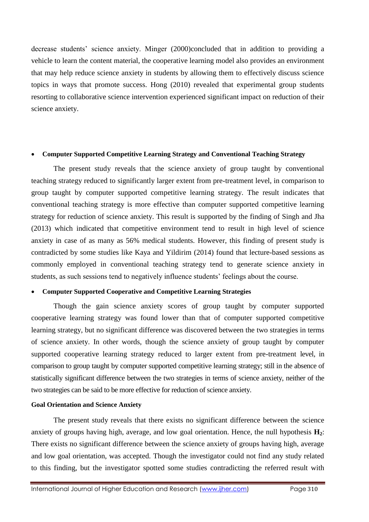decrease students' science anxiety. Minger (2000)concluded that in addition to providing a vehicle to learn the content material, the cooperative learning model also provides an environment that may help reduce science anxiety in students by allowing them to effectively discuss science topics in ways that promote success. Hong (2010) revealed that experimental group students resorting to collaborative science intervention experienced significant impact on reduction of their science anxiety.

# **Computer Supported Competitive Learning Strategy and Conventional Teaching Strategy**

The present study reveals that the science anxiety of group taught by conventional teaching strategy reduced to significantly larger extent from pre-treatment level, in comparison to group taught by computer supported competitive learning strategy. The result indicates that conventional teaching strategy is more effective than computer supported competitive learning strategy for reduction of science anxiety. This result is supported by the finding of Singh and Jha (2013) which indicated that competitive environment tend to result in high level of science anxiety in case of as many as 56% medical students. However, this finding of present study is contradicted by some studies like Kaya and Yildirim (2014) found that lecture-based sessions as commonly employed in conventional teaching strategy tend to generate science anxiety in students, as such sessions tend to negatively influence students' feelings about the course.

# **Computer Supported Cooperative and Competitive Learning Strategies**

Though the gain science anxiety scores of group taught by computer supported cooperative learning strategy was found lower than that of computer supported competitive learning strategy, but no significant difference was discovered between the two strategies in terms of science anxiety. In other words, though the science anxiety of group taught by computer supported cooperative learning strategy reduced to larger extent from pre-treatment level, in comparison to group taught by computer supported competitive learning strategy; still in the absence of statistically significant difference between the two strategies in terms of science anxiety, neither of the two strategies can be said to be more effective for reduction of science anxiety.

# **Goal Orientation and Science Anxiety**

The present study reveals that there exists no significant difference between the science anxiety of groups having high, average, and low goal orientation. Hence, the null hypothesis **H2**: There exists no significant difference between the science anxiety of groups having high, average and low goal orientation, was accepted. Though the investigator could not find any study related to this finding, but the investigator spotted some studies contradicting the referred result with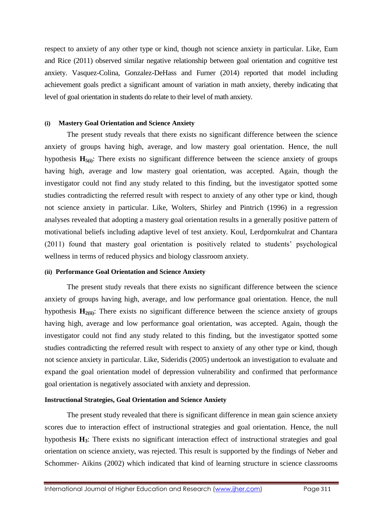respect to anxiety of any other type or kind, though not science anxiety in particular. Like, Eum and Rice (2011) observed similar negative relationship between goal orientation and cognitive test anxiety. Vasquez-Colina, Gonzalez-DeHass and Furner (2014) reported that model including achievement goals predict a significant amount of variation in math anxiety, thereby indicating that level of goal orientation in students do relate to their level of math anxiety.

# **(i) Mastery Goal Orientation and Science Anxiety**

The present study reveals that there exists no significant difference between the science anxiety of groups having high, average, and low mastery goal orientation. Hence, the null hypothesis **H5(i)**: There exists no significant difference between the science anxiety of groups having high, average and low mastery goal orientation, was accepted. Again, though the investigator could not find any study related to this finding, but the investigator spotted some studies contradicting the referred result with respect to anxiety of any other type or kind, though not science anxiety in particular. Like, Wolters, Shirley and Pintrich (1996) in a regression analyses revealed that adopting a mastery goal orientation results in a generally positive pattern of motivational beliefs including adaptive level of test anxiety. Koul, Lerdpornkulrat and Chantara (2011) found that mastery goal orientation is positively related to students' psychological wellness in terms of reduced physics and biology classroom anxiety.

# **(ii) Performance Goal Orientation and Science Anxiety**

The present study reveals that there exists no significant difference between the science anxiety of groups having high, average, and low performance goal orientation. Hence, the null hypothesis  $\mathbf{H}_{2(ii)}$ : There exists no significant difference between the science anxiety of groups having high, average and low performance goal orientation, was accepted. Again, though the investigator could not find any study related to this finding, but the investigator spotted some studies contradicting the referred result with respect to anxiety of any other type or kind, though not science anxiety in particular. Like, Sideridis (2005) undertook an investigation to evaluate and expand the goal orientation model of depression vulnerability and confirmed that performance goal orientation is negatively associated with anxiety and depression.

# **Instructional Strategies, Goal Orientation and Science Anxiety**

The present study revealed that there is significant difference in mean gain science anxiety scores due to interaction effect of instructional strategies and goal orientation. Hence, the null hypothesis **H3**: There exists no significant interaction effect of instructional strategies and goal orientation on science anxiety, was rejected. This result is supported by the findings of Neber and Schommer- Aikins (2002) which indicated that kind of learning structure in science classrooms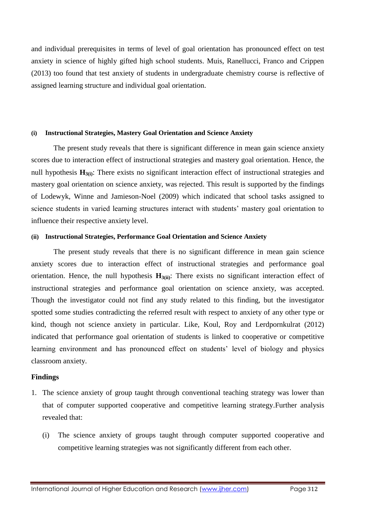and individual prerequisites in terms of level of goal orientation has pronounced effect on test anxiety in science of highly gifted high school students. Muis, Ranellucci, Franco and Crippen (2013) too found that test anxiety of students in undergraduate chemistry course is reflective of assigned learning structure and individual goal orientation.

### **(i) Instructional Strategies, Mastery Goal Orientation and Science Anxiety**

The present study reveals that there is significant difference in mean gain science anxiety scores due to interaction effect of instructional strategies and mastery goal orientation. Hence, the null hypothesis **H3(i)**: There exists no significant interaction effect of instructional strategies and mastery goal orientation on science anxiety, was rejected. This result is supported by the findings of Lodewyk, Winne and Jamieson-Noel (2009) which indicated that school tasks assigned to science students in varied learning structures interact with students' mastery goal orientation to influence their respective anxiety level.

# **(ii) Instructional Strategies, Performance Goal Orientation and Science Anxiety**

The present study reveals that there is no significant difference in mean gain science anxiety scores due to interaction effect of instructional strategies and performance goal orientation. Hence, the null hypothesis **H3(ii)**: There exists no significant interaction effect of instructional strategies and performance goal orientation on science anxiety, was accepted. Though the investigator could not find any study related to this finding, but the investigator spotted some studies contradicting the referred result with respect to anxiety of any other type or kind, though not science anxiety in particular. Like, Koul, Roy and Lerdpornkulrat (2012) indicated that performance goal orientation of students is linked to cooperative or competitive learning environment and has pronounced effect on students' level of biology and physics classroom anxiety.

# **Findings**

- 1. The science anxiety of group taught through conventional teaching strategy was lower than that of computer supported cooperative and competitive learning strategy.Further analysis revealed that:
	- (i) The science anxiety of groups taught through computer supported cooperative and competitive learning strategies was not significantly different from each other.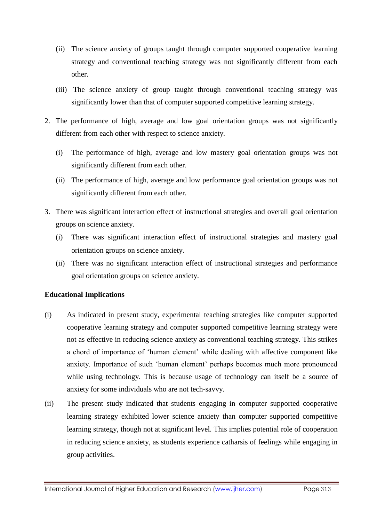- (ii) The science anxiety of groups taught through computer supported cooperative learning strategy and conventional teaching strategy was not significantly different from each other.
- (iii) The science anxiety of group taught through conventional teaching strategy was significantly lower than that of computer supported competitive learning strategy.
- 2. The performance of high, average and low goal orientation groups was not significantly different from each other with respect to science anxiety.
	- (i) The performance of high, average and low mastery goal orientation groups was not significantly different from each other.
	- (ii) The performance of high, average and low performance goal orientation groups was not significantly different from each other.
- 3. There was significant interaction effect of instructional strategies and overall goal orientation groups on science anxiety.
	- (i) There was significant interaction effect of instructional strategies and mastery goal orientation groups on science anxiety.
	- (ii) There was no significant interaction effect of instructional strategies and performance goal orientation groups on science anxiety.

# **Educational Implications**

- (i) As indicated in present study, experimental teaching strategies like computer supported cooperative learning strategy and computer supported competitive learning strategy were not as effective in reducing science anxiety as conventional teaching strategy. This strikes a chord of importance of 'human element' while dealing with affective component like anxiety. Importance of such 'human element' perhaps becomes much more pronounced while using technology. This is because usage of technology can itself be a source of anxiety for some individuals who are not tech-savvy.
- (ii) The present study indicated that students engaging in computer supported cooperative learning strategy exhibited lower science anxiety than computer supported competitive learning strategy, though not at significant level. This implies potential role of cooperation in reducing science anxiety, as students experience catharsis of feelings while engaging in group activities.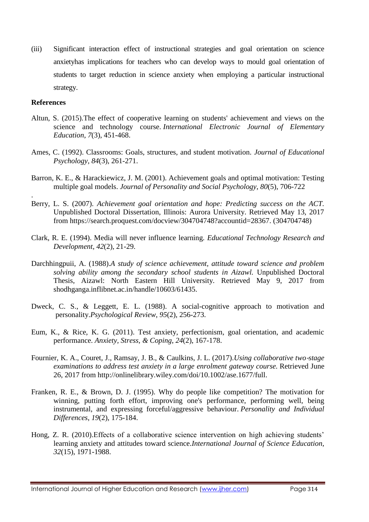(iii) Significant interaction effect of instructional strategies and goal orientation on science anxietyhas implications for teachers who can develop ways to mould goal orientation of students to target reduction in science anxiety when employing a particular instructional strategy.

# **References**

.

- Altun, S. (2015).The effect of cooperative learning on students' achievement and views on the science and technology course. *International Electronic Journal of Elementary Education*, *7*(3), 451-468.
- Ames, C. (1992). Classrooms: Goals, structures, and student motivation. *Journal of Educational Psychology*, *84*(3), 261-271.
- Barron, K. E., & Harackiewicz, J. M. (2001). Achievement goals and optimal motivation: Testing multiple goal models. *Journal of Personality and Social Psychology*, *80*(5), 706-722
- Berry, L. S. (2007). *Achievement goal orientation and hope: Predicting success on the ACT.* Unpublished Doctoral Dissertation, Illinois: Aurora University. Retrieved May 13, 2017 from [https://search.proquest.com/docview/304704748?accountid=28367.](https://search.proquest.com/docview/304704748?accountid=28367) (304704748)
- Clark, R. E. (1994). Media will never influence learning. *Educational Technology Research and Development*, *42*(2), 21-29.
- Darchhingpuii, A. (1988).*A study of science achievement, attitude toward science and problem solving ability among the secondary school students in Aizawl.* Unpublished Doctoral Thesis, Aizawl: North Eastern Hill University. Retrieved May 9, 2017 from shodhganga.inflibnet.ac.in/handle/10603/61435.
- Dweck, C. S., & Leggett, E. L. (1988). A social-cognitive approach to motivation and personality.*Psychological Review*, *95*(2), 256-273.
- Eum, K., & Rice, K. G. (2011). Test anxiety, perfectionism, goal orientation, and academic performance. *Anxiety, Stress, & Coping*, *24*(2), 167-178.
- Fournier, K. A., Couret, J., Ramsay, J. B., & Caulkins, J. L. (2017).*Using collaborative two*‐*stage examinations to address test anxiety in a large enrolment gateway course.* Retrieved June 26, 2017 from [http://onlinelibrary.wiley.com/doi/10.1002/ase.1677/full.](http://onlinelibrary.wiley.com/doi/10.1002/ase.1677/full)
- Franken, R. E., & Brown, D. J. (1995). Why do people like competition? The motivation for winning, putting forth effort, improving one's performance, performing well, being instrumental, and expressing forceful/aggressive behaviour. *Personality and Individual Differences*, *19*(2), 175-184.
- Hong, Z. R. (2010).Effects of a collaborative science intervention on high achieving students' learning anxiety and attitudes toward science.*International Journal of Science Education*, *32*(15), 1971-1988.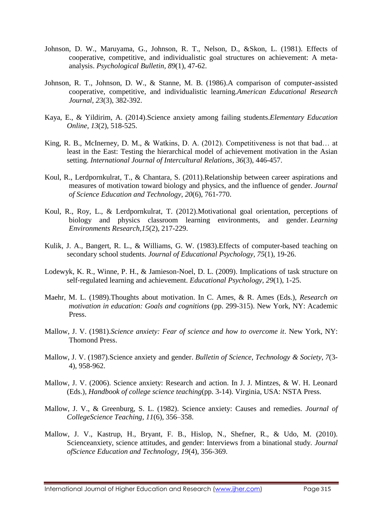- Johnson, D. W., Maruyama, G., Johnson, R. T., Nelson, D., &Skon, L. (1981). Effects of cooperative, competitive, and individualistic goal structures on achievement: A metaanalysis. *Psychological Bulletin, 89*(1), 47-62.
- Johnson, R. T., Johnson, D. W., & Stanne, M. B. (1986).A comparison of computer-assisted cooperative, competitive, and individualistic learning.*American Educational Research Journal*, *23*(3), 382-392.
- Kaya, E., & Yildirim, A. (2014).Science anxiety among failing students.*Elementary Education Online, 13*(2), 518-525.
- King, R. B., McInerney, D. M., & Watkins, D. A. (2012). Competitiveness is not that bad… at least in the East: Testing the hierarchical model of achievement motivation in the Asian setting. *International Journal of Intercultural Relations*, *36*(3), 446-457.
- Koul, R., Lerdpornkulrat, T., & Chantara, S. (2011).Relationship between career aspirations and measures of motivation toward biology and physics, and the influence of gender. *Journal of Science Education and Technology*, *20*(6), 761-770.
- Koul, R., Roy, L., & Lerdpornkulrat, T. (2012).Motivational goal orientation, perceptions of biology and physics classroom learning environments, and gender. *Learning Environments Research*,*15*(2), 217-229.
- Kulik, J. A., Bangert, R. L., & Williams, G. W. (1983).Effects of computer-based teaching on secondary school students. *Journal of Educational Psychology*, *75*(1), 19-26.
- Lodewyk, K. R., Winne, P. H., & Jamieson‐Noel, D. L. (2009). Implications of task structure on self‐regulated learning and achievement. *Educational Psychology*, *29*(1), 1-25.
- Maehr, M. L. (1989).Thoughts about motivation. In C. Ames, & R. Ames (Eds.), *Research on motivation in education: Goals and cognitions* (pp. 299-315). New York, NY: Academic Press.
- Mallow, J. V. (1981).*Science anxiety: Fear of science and how to overcome it*. New York, NY: Thomond Press.
- Mallow, J. V. (1987).Science anxiety and gender. *Bulletin of Science, Technology & Society*, *7*(3- 4), 958-962.
- Mallow, J. V. (2006). Science anxiety: Research and action. In J. J. Mintzes, & W. H. Leonard (Eds.), *Handbook of college science teaching*(pp. 3-14). Virginia, USA: NSTA Press.
- Mallow, J. V., & Greenburg, S. L. (1982). Science anxiety: Causes and remedies. *Journal of CollegeScience Teaching, 11*(6)*,* 356–358.
- Mallow, J. V., Kastrup, H., Bryant, F. B., Hislop, N., Shefner, R., & Udo, M. (2010). Scienceanxiety, science attitudes, and gender: Interviews from a binational study. *Journal ofScience Education and Technology, 19*(4), 356-369.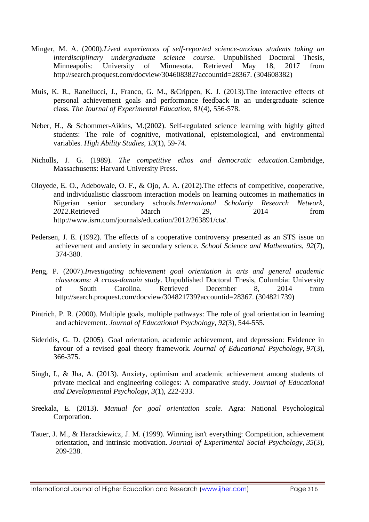- Minger, M. A. (2000).*Lived experiences of self-reported science-anxious students taking an interdisciplinary undergraduate science course*. Unpublished Doctoral Thesis, Minneapolis: University of Minnesota. Retrieved May 18, 2017 from [http://search.proquest.com/docview/304608382?accountid=28367.](http://search.proquest.com/docview/304608382?accountid=28367) (304608382)
- Muis, K. R., Ranellucci, J., Franco, G. M., &Crippen, K. J. (2013).The interactive effects of personal achievement goals and performance feedback in an undergraduate science class. *The Journal of Experimental Education*, *81*(4), 556-578.
- Neber, H., & Schommer-Aikins, M.(2002). Self-regulated science learning with highly gifted students: The role of cognitive, motivational, epistemological, and environmental variables. *High Ability Studies*, *13*(1), 59-74.
- Nicholls, J. G. (1989)*. The competitive ethos and democratic education.*Cambridge, Massachusetts: Harvard University Press.
- Oloyede, E. O., Adebowale, O. F., & Ojo, A. A. (2012).The effects of competitive, cooperative, and individualistic classroom interaction models on learning outcomes in mathematics in Nigerian senior secondary schools.*International Scholarly Research Network*, *2012*.Retrieved March 29, 2014 from [http://www.isrn.com/journals/education/2012/263891/cta/.](http://www.isrn.com/journals/education/2012/263891/cta/)
- Pedersen, J. E. (1992). The effects of a cooperative controversy presented as an STS issue on achievement and anxiety in secondary science. *School Science and Mathematics*, *92*(7), 374-380.
- Peng, P. (2007).*Investigating achievement goal orientation in arts and general academic classrooms: A cross-domain study*. Unpublished Doctoral Thesis, Columbia: University of South Carolina. Retrieved December 8, 2014 from http://search.proquest.com/docview/304821739?accountid=28367. (304821739)
- Pintrich, P. R. (2000). Multiple goals, multiple pathways: The role of goal orientation in learning and achievement. *Journal of Educational Psychology*, *92*(3), 544-555.
- Sideridis, G. D. (2005). Goal orientation, academic achievement, and depression: Evidence in favour of a revised goal theory framework. *Journal of Educational Psychology*, *97*(3), 366-375.
- Singh, I., & Jha, A. (2013). Anxiety, optimism and academic achievement among students of private medical and engineering colleges: A comparative study. *Journal of Educational and Developmental Psychology*, *3*(1), 222-233.
- Sreekala, E. (2013). *Manual for goal orientation scale*. Agra: National Psychological Corporation.
- Tauer, J. M., & Harackiewicz, J. M. (1999). Winning isn't everything: Competition, achievement orientation, and intrinsic motivation. *Journal of Experimental Social Psychology*, *35*(3), 209-238.